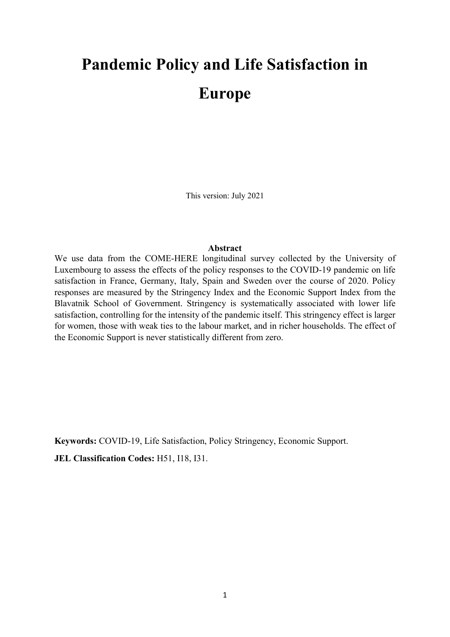# Pandemic Policy and Life Satisfaction in Europe

This version: July 2021

#### Abstract

We use data from the COME-HERE longitudinal survey collected by the University of Luxembourg to assess the effects of the policy responses to the COVID-19 pandemic on life satisfaction in France, Germany, Italy, Spain and Sweden over the course of 2020. Policy responses are measured by the Stringency Index and the Economic Support Index from the Blavatnik School of Government. Stringency is systematically associated with lower life satisfaction, controlling for the intensity of the pandemic itself. This stringency effect is larger for women, those with weak ties to the labour market, and in richer households. The effect of the Economic Support is never statistically different from zero.

Keywords: COVID-19, Life Satisfaction, Policy Stringency, Economic Support. JEL Classification Codes: H51, I18, I31.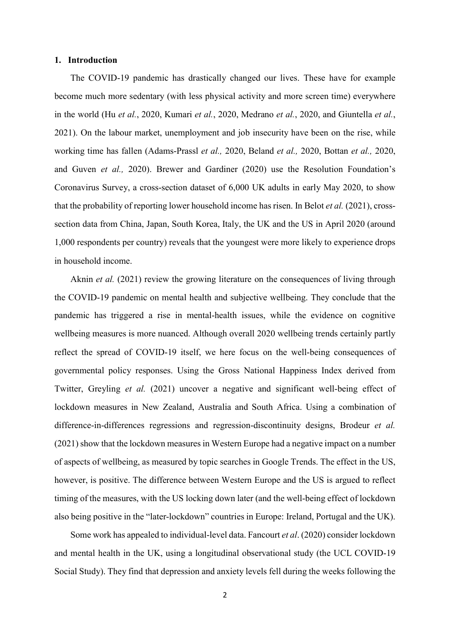#### 1. Introduction

The COVID-19 pandemic has drastically changed our lives. These have for example become much more sedentary (with less physical activity and more screen time) everywhere in the world (Hu et al., 2020, Kumari et al., 2020, Medrano et al., 2020, and Giuntella et al., 2021). On the labour market, unemployment and job insecurity have been on the rise, while working time has fallen (Adams-Prassl et al., 2020, Beland et al., 2020, Bottan et al., 2020, and Guven et al., 2020). Brewer and Gardiner (2020) use the Resolution Foundation's Coronavirus Survey, a cross-section dataset of 6,000 UK adults in early May 2020, to show that the probability of reporting lower household income has risen. In Belot et al. (2021), crosssection data from China, Japan, South Korea, Italy, the UK and the US in April 2020 (around 1,000 respondents per country) reveals that the youngest were more likely to experience drops in household income.

Aknin *et al.* (2021) review the growing literature on the consequences of living through the COVID-19 pandemic on mental health and subjective wellbeing. They conclude that the pandemic has triggered a rise in mental-health issues, while the evidence on cognitive wellbeing measures is more nuanced. Although overall 2020 wellbeing trends certainly partly reflect the spread of COVID-19 itself, we here focus on the well-being consequences of governmental policy responses. Using the Gross National Happiness Index derived from Twitter, Greyling et al. (2021) uncover a negative and significant well-being effect of lockdown measures in New Zealand, Australia and South Africa. Using a combination of difference-in-differences regressions and regression-discontinuity designs, Brodeur *et al.* (2021) show that the lockdown measures in Western Europe had a negative impact on a number of aspects of wellbeing, as measured by topic searches in Google Trends. The effect in the US, however, is positive. The difference between Western Europe and the US is argued to reflect timing of the measures, with the US locking down later (and the well-being effect of lockdown also being positive in the "later-lockdown" countries in Europe: Ireland, Portugal and the UK).

Some work has appealed to individual-level data. Fancourt et al. (2020) consider lockdown and mental health in the UK, using a longitudinal observational study (the UCL COVID-19 Social Study). They find that depression and anxiety levels fell during the weeks following the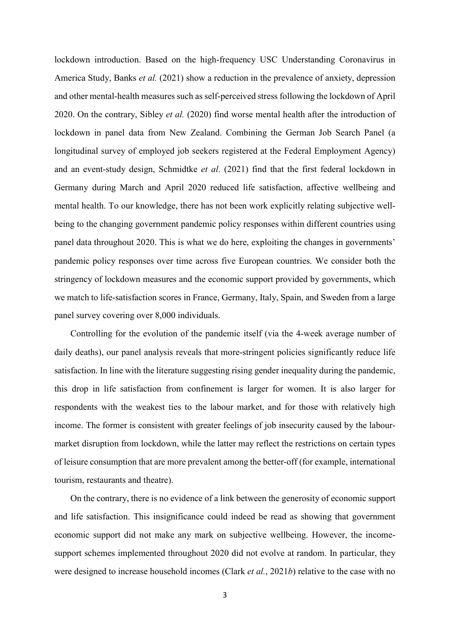lockdown introduction. Based on the high-frequency USC Understanding Coronavirus in America Study, Banks et al. (2021) show a reduction in the prevalence of anxiety, depression and other mental-health measures such as self-perceived stress following the lockdown of April 2020. On the contrary, Sibley *et al.* (2020) find worse mental health after the introduction of lockdown in panel data from New Zealand. Combining the German Job Search Panel (a longitudinal survey of employed job seekers registered at the Federal Employment Agency) and an event-study design, Schmidtke et al. (2021) find that the first federal lockdown in Germany during March and April 2020 reduced life satisfaction, affective wellbeing and mental health. To our knowledge, there has not been work explicitly relating subjective wellbeing to the changing government pandemic policy responses within different countries using panel data throughout 2020. This is what we do here, exploiting the changes in governments' pandemic policy responses over time across five European countries. We consider both the stringency of lockdown measures and the economic support provided by governments, which we match to life-satisfaction scores in France, Germany, Italy, Spain, and Sweden from a large panel survey covering over 8,000 individuals.

Controlling for the evolution of the pandemic itself (via the 4-week average number of daily deaths), our panel analysis reveals that more-stringent policies significantly reduce life satisfaction. In line with the literature suggesting rising gender inequality during the pandemic, this drop in life satisfaction from confinement is larger for women. It is also larger for respondents with the weakest ties to the labour market, and for those with relatively high income. The former is consistent with greater feelings of job insecurity caused by the labourmarket disruption from lockdown, while the latter may reflect the restrictions on certain types of leisure consumption that are more prevalent among the better-off (for example, international tourism, restaurants and theatre).

On the contrary, there is no evidence of a link between the generosity of economic support and life satisfaction. This insignificance could indeed be read as showing that government economic support did not make any mark on subjective wellbeing. However, the incomesupport schemes implemented throughout 2020 did not evolve at random. In particular, they were designed to increase household incomes (Clark *et al.*, 2021*b*) relative to the case with no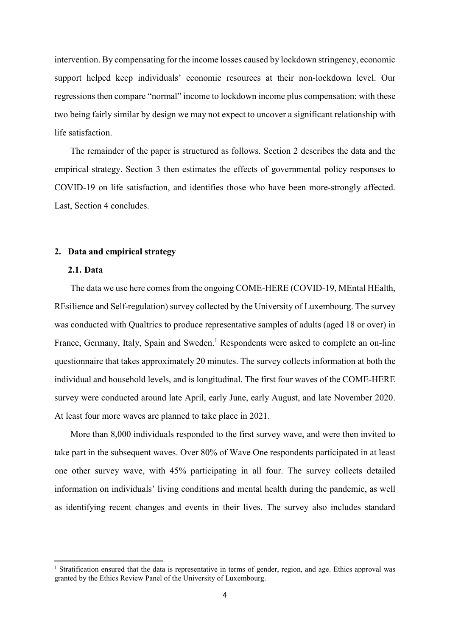intervention. By compensating for the income losses caused by lockdown stringency, economic support helped keep individuals' economic resources at their non-lockdown level. Our regressions then compare "normal" income to lockdown income plus compensation; with these two being fairly similar by design we may not expect to uncover a significant relationship with life satisfaction.

The remainder of the paper is structured as follows. Section 2 describes the data and the empirical strategy. Section 3 then estimates the effects of governmental policy responses to COVID-19 on life satisfaction, and identifies those who have been more-strongly affected. Last, Section 4 concludes.

# 2. Data and empirical strategy

#### 2.1. Data

-

The data we use here comes from the ongoing COME-HERE (COVID-19, MEntal HEalth, REsilience and Self-regulation) survey collected by the University of Luxembourg. The survey was conducted with Qualtrics to produce representative samples of adults (aged 18 or over) in France, Germany, Italy, Spain and Sweden.<sup>1</sup> Respondents were asked to complete an on-line questionnaire that takes approximately 20 minutes. The survey collects information at both the individual and household levels, and is longitudinal. The first four waves of the COME-HERE survey were conducted around late April, early June, early August, and late November 2020. At least four more waves are planned to take place in 2021.

More than 8,000 individuals responded to the first survey wave, and were then invited to take part in the subsequent waves. Over 80% of Wave One respondents participated in at least one other survey wave, with 45% participating in all four. The survey collects detailed information on individuals' living conditions and mental health during the pandemic, as well as identifying recent changes and events in their lives. The survey also includes standard

<sup>&</sup>lt;sup>1</sup> Stratification ensured that the data is representative in terms of gender, region, and age. Ethics approval was granted by the Ethics Review Panel of the University of Luxembourg.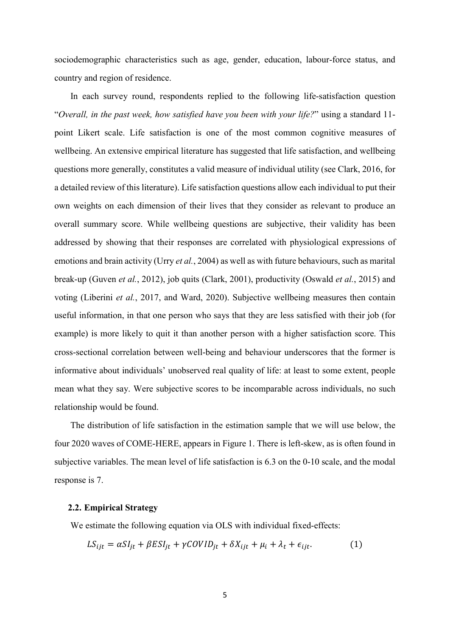sociodemographic characteristics such as age, gender, education, labour-force status, and country and region of residence.

In each survey round, respondents replied to the following life-satisfaction question "Overall, in the past week, how satisfied have you been with your life?" using a standard 11 point Likert scale. Life satisfaction is one of the most common cognitive measures of wellbeing. An extensive empirical literature has suggested that life satisfaction, and wellbeing questions more generally, constitutes a valid measure of individual utility (see Clark, 2016, for a detailed review of this literature). Life satisfaction questions allow each individual to put their own weights on each dimension of their lives that they consider as relevant to produce an overall summary score. While wellbeing questions are subjective, their validity has been addressed by showing that their responses are correlated with physiological expressions of emotions and brain activity (Urry et al., 2004) as well as with future behaviours, such as marital break-up (Guven et al., 2012), job quits (Clark, 2001), productivity (Oswald et al., 2015) and voting (Liberini et al., 2017, and Ward, 2020). Subjective wellbeing measures then contain useful information, in that one person who says that they are less satisfied with their job (for example) is more likely to quit it than another person with a higher satisfaction score. This cross-sectional correlation between well-being and behaviour underscores that the former is informative about individuals' unobserved real quality of life: at least to some extent, people mean what they say. Were subjective scores to be incomparable across individuals, no such relationship would be found.

The distribution of life satisfaction in the estimation sample that we will use below, the four 2020 waves of COME-HERE, appears in Figure 1. There is left-skew, as is often found in subjective variables. The mean level of life satisfaction is 6.3 on the 0-10 scale, and the modal response is 7.

#### 2.2. Empirical Strategy

We estimate the following equation via OLS with individual fixed-effects:

$$
LS_{ijt} = \alpha SI_{jt} + \beta ES_{jt} + \gamma COVID_{jt} + \delta X_{ijt} + \mu_i + \lambda_t + \epsilon_{ijt}.
$$
 (1)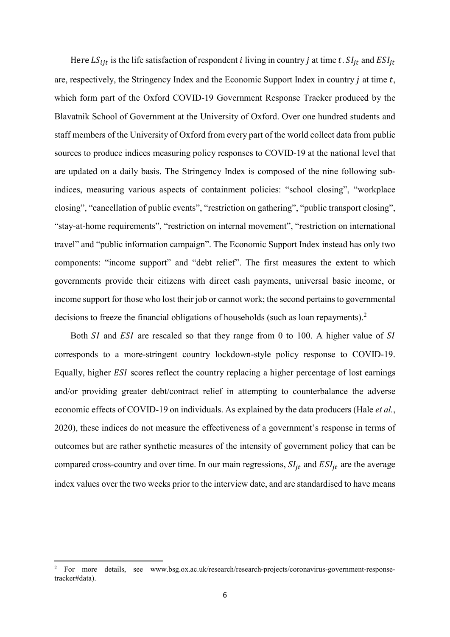Here  $LS_{ijt}$  is the life satisfaction of respondent *i* living in country *j* at time *t*.  $SI_{jt}$  and  $ESI_{jt}$ are, respectively, the Stringency Index and the Economic Support Index in country  $j$  at time  $t$ , which form part of the Oxford COVID-19 Government Response Tracker produced by the Blavatnik School of Government at the University of Oxford. Over one hundred students and staff members of the University of Oxford from every part of the world collect data from public sources to produce indices measuring policy responses to COVID-19 at the national level that are updated on a daily basis. The Stringency Index is composed of the nine following subindices, measuring various aspects of containment policies: "school closing", "workplace closing", "cancellation of public events", "restriction on gathering", "public transport closing", "stay-at-home requirements", "restriction on internal movement", "restriction on international travel" and "public information campaign". The Economic Support Index instead has only two components: "income support" and "debt relief". The first measures the extent to which governments provide their citizens with direct cash payments, universal basic income, or income support for those who lost their job or cannot work; the second pertains to governmental decisions to freeze the financial obligations of households (such as loan repayments). $2$ 

Both  $SI$  and  $ESI$  are rescaled so that they range from 0 to 100. A higher value of  $SI$ corresponds to a more-stringent country lockdown-style policy response to COVID-19. Equally, higher *ESI* scores reflect the country replacing a higher percentage of lost earnings and/or providing greater debt/contract relief in attempting to counterbalance the adverse economic effects of COVID-19 on individuals. As explained by the data producers (Hale *et al.*, 2020), these indices do not measure the effectiveness of a government's response in terms of outcomes but are rather synthetic measures of the intensity of government policy that can be compared cross-country and over time. In our main regressions,  $SI_{it}$  and  $ESI_{it}$  are the average index values over the two weeks prior to the interview date, and are standardised to have means

<sup>&</sup>lt;sup>2</sup> For more details, see www.bsg.ox.ac.uk/research/research-projects/coronavirus-government-responsetracker#data).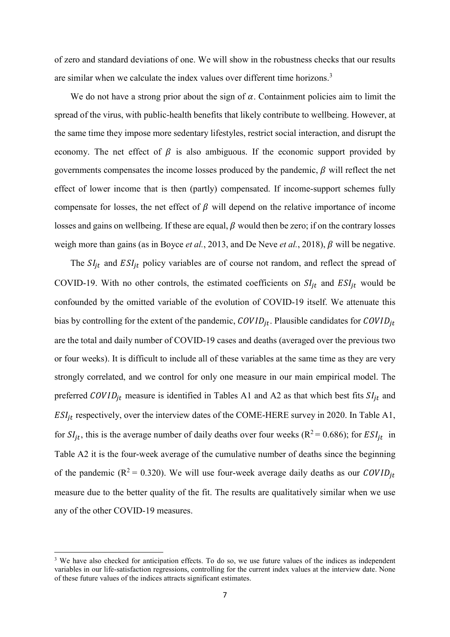of zero and standard deviations of one. We will show in the robustness checks that our results are similar when we calculate the index values over different time horizons.<sup>3</sup>

We do not have a strong prior about the sign of  $\alpha$ . Containment policies aim to limit the spread of the virus, with public-health benefits that likely contribute to wellbeing. However, at the same time they impose more sedentary lifestyles, restrict social interaction, and disrupt the economy. The net effect of  $\beta$  is also ambiguous. If the economic support provided by governments compensates the income losses produced by the pandemic,  $\beta$  will reflect the net effect of lower income that is then (partly) compensated. If income-support schemes fully compensate for losses, the net effect of  $\beta$  will depend on the relative importance of income losses and gains on wellbeing. If these are equal,  $\beta$  would then be zero; if on the contrary losses weigh more than gains (as in Boyce *et al.*, 2013, and De Neve *et al.*, 2018),  $\beta$  will be negative.

The  $SI_{it}$  and  $ESI_{it}$  policy variables are of course not random, and reflect the spread of COVID-19. With no other controls, the estimated coefficients on  $SI_{jt}$  and  $ESI_{jt}$  would be confounded by the omitted variable of the evolution of COVID-19 itself. We attenuate this bias by controlling for the extent of the pandemic,  $\text{COVID}_{jt}$ . Plausible candidates for  $\text{COVID}_{jt}$ are the total and daily number of COVID-19 cases and deaths (averaged over the previous two or four weeks). It is difficult to include all of these variables at the same time as they are very strongly correlated, and we control for only one measure in our main empirical model. The preferred  $\text{COVID}_{it}$  measure is identified in Tables A1 and A2 as that which best fits  $\text{SI}_{it}$  and  $ESI_{it}$  respectively, over the interview dates of the COME-HERE survey in 2020. In Table A1, for  $SI_{it}$ , this is the average number of daily deaths over four weeks ( $R^2 = 0.686$ ); for  $ESI_{it}$  in Table A2 it is the four-week average of the cumulative number of deaths since the beginning of the pandemic ( $R^2 = 0.320$ ). We will use four-week average daily deaths as our COVID<sub>it</sub> measure due to the better quality of the fit. The results are qualitatively similar when we use any of the other COVID-19 measures.

<sup>&</sup>lt;sup>3</sup> We have also checked for anticipation effects. To do so, we use future values of the indices as independent variables in our life-satisfaction regressions, controlling for the current index values at the interview date. None of these future values of the indices attracts significant estimates.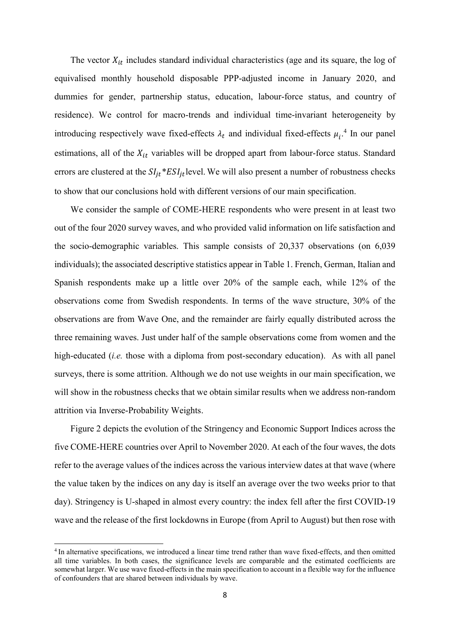The vector  $X_{it}$  includes standard individual characteristics (age and its square, the log of equivalised monthly household disposable PPP-adjusted income in January 2020, and dummies for gender, partnership status, education, labour-force status, and country of residence). We control for macro-trends and individual time-invariant heterogeneity by introducing respectively wave fixed-effects  $\lambda_t$  and individual fixed-effects  $\mu_t$ <sup>4</sup>. In our panel estimations, all of the  $X_{it}$  variables will be dropped apart from labour-force status. Standard errors are clustered at the  $SI_{it} * ESI_{it}$  level. We will also present a number of robustness checks to show that our conclusions hold with different versions of our main specification.

We consider the sample of COME-HERE respondents who were present in at least two out of the four 2020 survey waves, and who provided valid information on life satisfaction and the socio-demographic variables. This sample consists of 20,337 observations (on 6,039 individuals); the associated descriptive statistics appear in Table 1. French, German, Italian and Spanish respondents make up a little over 20% of the sample each, while 12% of the observations come from Swedish respondents. In terms of the wave structure, 30% of the observations are from Wave One, and the remainder are fairly equally distributed across the three remaining waves. Just under half of the sample observations come from women and the high-educated *(i.e.* those with a diploma from post-secondary education). As with all panel surveys, there is some attrition. Although we do not use weights in our main specification, we will show in the robustness checks that we obtain similar results when we address non-random attrition via Inverse-Probability Weights.

Figure 2 depicts the evolution of the Stringency and Economic Support Indices across the five COME-HERE countries over April to November 2020. At each of the four waves, the dots refer to the average values of the indices across the various interview dates at that wave (where the value taken by the indices on any day is itself an average over the two weeks prior to that day). Stringency is U-shaped in almost every country: the index fell after the first COVID-19 wave and the release of the first lockdowns in Europe (from April to August) but then rose with

<sup>4</sup>In alternative specifications, we introduced a linear time trend rather than wave fixed-effects, and then omitted all time variables. In both cases, the significance levels are comparable and the estimated coefficients are somewhat larger. We use wave fixed-effects in the main specification to account in a flexible way for the influence of confounders that are shared between individuals by wave.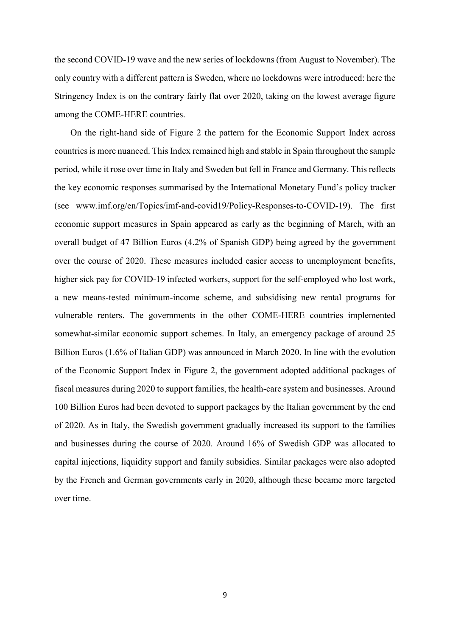the second COVID-19 wave and the new series of lockdowns (from August to November). The only country with a different pattern is Sweden, where no lockdowns were introduced: here the Stringency Index is on the contrary fairly flat over 2020, taking on the lowest average figure among the COME-HERE countries.

On the right-hand side of Figure 2 the pattern for the Economic Support Index across countries is more nuanced. This Index remained high and stable in Spain throughout the sample period, while it rose over time in Italy and Sweden but fell in France and Germany. This reflects the key economic responses summarised by the International Monetary Fund's policy tracker (see www.imf.org/en/Topics/imf-and-covid19/Policy-Responses-to-COVID-19). The first economic support measures in Spain appeared as early as the beginning of March, with an overall budget of 47 Billion Euros (4.2% of Spanish GDP) being agreed by the government over the course of 2020. These measures included easier access to unemployment benefits, higher sick pay for COVID-19 infected workers, support for the self-employed who lost work, a new means-tested minimum-income scheme, and subsidising new rental programs for vulnerable renters. The governments in the other COME-HERE countries implemented somewhat-similar economic support schemes. In Italy, an emergency package of around 25 Billion Euros (1.6% of Italian GDP) was announced in March 2020. In line with the evolution of the Economic Support Index in Figure 2, the government adopted additional packages of fiscal measures during 2020 to support families, the health-care system and businesses. Around 100 Billion Euros had been devoted to support packages by the Italian government by the end of 2020. As in Italy, the Swedish government gradually increased its support to the families and businesses during the course of 2020. Around 16% of Swedish GDP was allocated to capital injections, liquidity support and family subsidies. Similar packages were also adopted by the French and German governments early in 2020, although these became more targeted over time.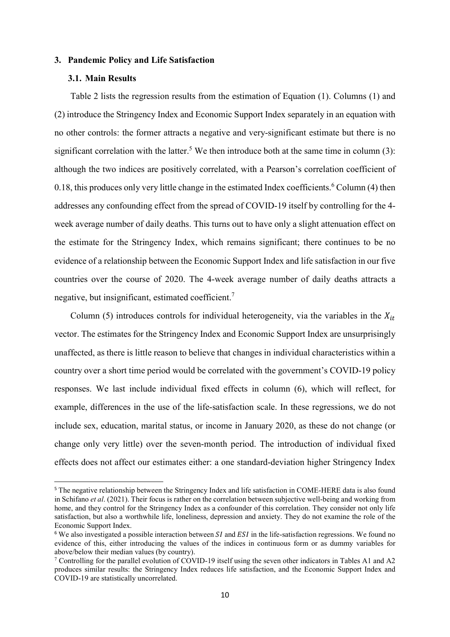#### 3. Pandemic Policy and Life Satisfaction

# 3.1. Main Results

-

Table 2 lists the regression results from the estimation of Equation (1). Columns (1) and (2) introduce the Stringency Index and Economic Support Index separately in an equation with no other controls: the former attracts a negative and very-significant estimate but there is no significant correlation with the latter.<sup>5</sup> We then introduce both at the same time in column  $(3)$ : although the two indices are positively correlated, with a Pearson's correlation coefficient of 0.18, this produces only very little change in the estimated Index coefficients.  $6$  Column (4) then addresses any confounding effect from the spread of COVID-19 itself by controlling for the 4 week average number of daily deaths. This turns out to have only a slight attenuation effect on the estimate for the Stringency Index, which remains significant; there continues to be no evidence of a relationship between the Economic Support Index and life satisfaction in our five countries over the course of 2020. The 4-week average number of daily deaths attracts a negative, but insignificant, estimated coefficient.<sup>7</sup>

Column (5) introduces controls for individual heterogeneity, via the variables in the  $X_{it}$ vector. The estimates for the Stringency Index and Economic Support Index are unsurprisingly unaffected, as there is little reason to believe that changes in individual characteristics within a country over a short time period would be correlated with the government's COVID-19 policy responses. We last include individual fixed effects in column (6), which will reflect, for example, differences in the use of the life-satisfaction scale. In these regressions, we do not include sex, education, marital status, or income in January 2020, as these do not change (or change only very little) over the seven-month period. The introduction of individual fixed effects does not affect our estimates either: a one standard-deviation higher Stringency Index

<sup>5</sup> The negative relationship between the Stringency Index and life satisfaction in COME-HERE data is also found in Schifano et al. (2021). Their focus is rather on the correlation between subjective well-being and working from home, and they control for the Stringency Index as a confounder of this correlation. They consider not only life satisfaction, but also a worthwhile life, loneliness, depression and anxiety. They do not examine the role of the Economic Support Index.

 $6$  We also investigated a possible interaction between *SI* and *ESI* in the life-satisfaction regressions. We found no evidence of this, either introducing the values of the indices in continuous form or as dummy variables for above/below their median values (by country).

<sup>&</sup>lt;sup>7</sup> Controlling for the parallel evolution of COVID-19 itself using the seven other indicators in Tables A1 and A2 produces similar results: the Stringency Index reduces life satisfaction, and the Economic Support Index and COVID-19 are statistically uncorrelated.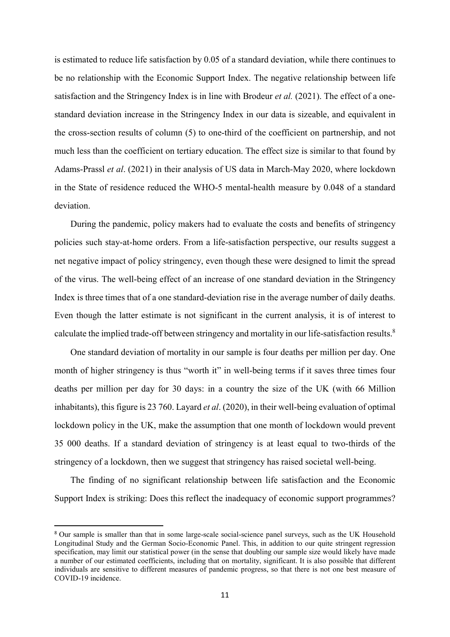is estimated to reduce life satisfaction by 0.05 of a standard deviation, while there continues to be no relationship with the Economic Support Index. The negative relationship between life satisfaction and the Stringency Index is in line with Brodeur *et al.* (2021). The effect of a onestandard deviation increase in the Stringency Index in our data is sizeable, and equivalent in the cross-section results of column (5) to one-third of the coefficient on partnership, and not much less than the coefficient on tertiary education. The effect size is similar to that found by Adams-Prassl et al. (2021) in their analysis of US data in March-May 2020, where lockdown in the State of residence reduced the WHO-5 mental-health measure by 0.048 of a standard deviation.

During the pandemic, policy makers had to evaluate the costs and benefits of stringency policies such stay-at-home orders. From a life-satisfaction perspective, our results suggest a net negative impact of policy stringency, even though these were designed to limit the spread of the virus. The well-being effect of an increase of one standard deviation in the Stringency Index is three times that of a one standard-deviation rise in the average number of daily deaths. Even though the latter estimate is not significant in the current analysis, it is of interest to calculate the implied trade-off between stringency and mortality in our life-satisfaction results.<sup>8</sup>

One standard deviation of mortality in our sample is four deaths per million per day. One month of higher stringency is thus "worth it" in well-being terms if it saves three times four deaths per million per day for 30 days: in a country the size of the UK (with 66 Million inhabitants), this figure is 23 760. Layard et al. (2020), in their well-being evaluation of optimal lockdown policy in the UK, make the assumption that one month of lockdown would prevent 35 000 deaths. If a standard deviation of stringency is at least equal to two-thirds of the stringency of a lockdown, then we suggest that stringency has raised societal well-being.

The finding of no significant relationship between life satisfaction and the Economic Support Index is striking: Does this reflect the inadequacy of economic support programmes?

<sup>&</sup>lt;sup>8</sup> Our sample is smaller than that in some large-scale social-science panel surveys, such as the UK Household Longitudinal Study and the German Socio-Economic Panel. This, in addition to our quite stringent regression specification, may limit our statistical power (in the sense that doubling our sample size would likely have made a number of our estimated coefficients, including that on mortality, significant. It is also possible that different individuals are sensitive to different measures of pandemic progress, so that there is not one best measure of COVID-19 incidence.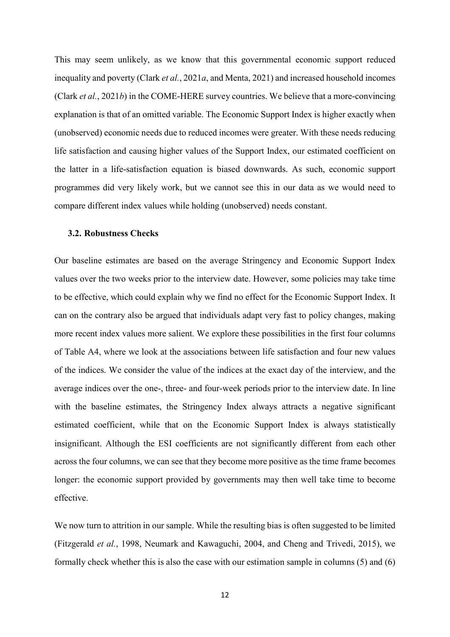This may seem unlikely, as we know that this governmental economic support reduced inequality and poverty (Clark et al., 2021a, and Menta, 2021) and increased household incomes (Clark et al., 2021b) in the COME-HERE survey countries. We believe that a more-convincing explanation is that of an omitted variable. The Economic Support Index is higher exactly when (unobserved) economic needs due to reduced incomes were greater. With these needs reducing life satisfaction and causing higher values of the Support Index, our estimated coefficient on the latter in a life-satisfaction equation is biased downwards. As such, economic support programmes did very likely work, but we cannot see this in our data as we would need to compare different index values while holding (unobserved) needs constant.

#### 3.2. Robustness Checks

Our baseline estimates are based on the average Stringency and Economic Support Index values over the two weeks prior to the interview date. However, some policies may take time to be effective, which could explain why we find no effect for the Economic Support Index. It can on the contrary also be argued that individuals adapt very fast to policy changes, making more recent index values more salient. We explore these possibilities in the first four columns of Table A4, where we look at the associations between life satisfaction and four new values of the indices. We consider the value of the indices at the exact day of the interview, and the average indices over the one-, three- and four-week periods prior to the interview date. In line with the baseline estimates, the Stringency Index always attracts a negative significant estimated coefficient, while that on the Economic Support Index is always statistically insignificant. Although the ESI coefficients are not significantly different from each other across the four columns, we can see that they become more positive as the time frame becomes longer: the economic support provided by governments may then well take time to become effective.

We now turn to attrition in our sample. While the resulting bias is often suggested to be limited (Fitzgerald et al., 1998, Neumark and Kawaguchi, 2004, and Cheng and Trivedi, 2015), we formally check whether this is also the case with our estimation sample in columns (5) and (6)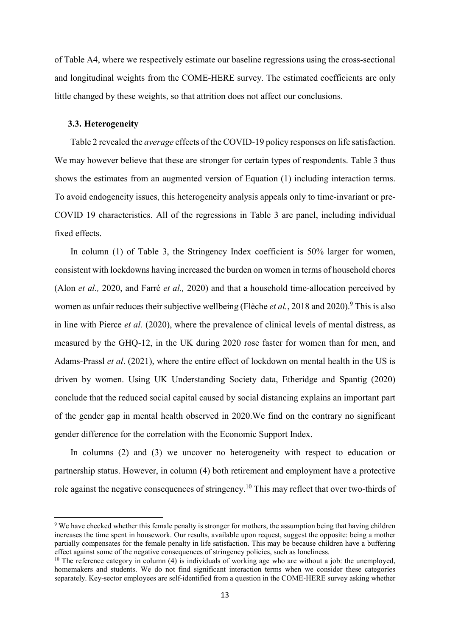of Table A4, where we respectively estimate our baseline regressions using the cross-sectional and longitudinal weights from the COME-HERE survey. The estimated coefficients are only little changed by these weights, so that attrition does not affect our conclusions.

#### 3.3. Heterogeneity

-

Table 2 revealed the *average* effects of the COVID-19 policy responses on life satisfaction. We may however believe that these are stronger for certain types of respondents. Table 3 thus shows the estimates from an augmented version of Equation (1) including interaction terms. To avoid endogeneity issues, this heterogeneity analysis appeals only to time-invariant or pre-COVID 19 characteristics. All of the regressions in Table 3 are panel, including individual fixed effects.

In column (1) of Table 3, the Stringency Index coefficient is 50% larger for women, consistent with lockdowns having increased the burden on women in terms of household chores (Alon et al., 2020, and Farré et al., 2020) and that a household time-allocation perceived by women as unfair reduces their subjective wellbeing (Flèche *et al.*, 2018 and 2020).<sup>9</sup> This is also in line with Pierce et al. (2020), where the prevalence of clinical levels of mental distress, as measured by the GHQ-12, in the UK during 2020 rose faster for women than for men, and Adams-Prassl et al. (2021), where the entire effect of lockdown on mental health in the US is driven by women. Using UK Understanding Society data, Etheridge and Spantig (2020) conclude that the reduced social capital caused by social distancing explains an important part of the gender gap in mental health observed in 2020.We find on the contrary no significant gender difference for the correlation with the Economic Support Index.

In columns (2) and (3) we uncover no heterogeneity with respect to education or partnership status. However, in column (4) both retirement and employment have a protective role against the negative consequences of stringency.<sup>10</sup> This may reflect that over two-thirds of

<sup>&</sup>lt;sup>9</sup> We have checked whether this female penalty is stronger for mothers, the assumption being that having children increases the time spent in housework. Our results, available upon request, suggest the opposite: being a mother partially compensates for the female penalty in life satisfaction. This may be because children have a buffering effect against some of the negative consequences of stringency policies, such as loneliness.

 $10$  The reference category in column (4) is individuals of working age who are without a job: the unemployed, homemakers and students. We do not find significant interaction terms when we consider these categories separately. Key-sector employees are self-identified from a question in the COME-HERE survey asking whether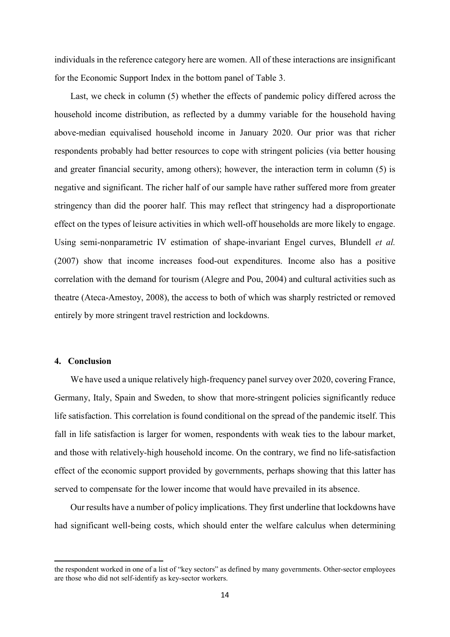individuals in the reference category here are women. All of these interactions are insignificant for the Economic Support Index in the bottom panel of Table 3.

Last, we check in column (5) whether the effects of pandemic policy differed across the household income distribution, as reflected by a dummy variable for the household having above-median equivalised household income in January 2020. Our prior was that richer respondents probably had better resources to cope with stringent policies (via better housing and greater financial security, among others); however, the interaction term in column (5) is negative and significant. The richer half of our sample have rather suffered more from greater stringency than did the poorer half. This may reflect that stringency had a disproportionate effect on the types of leisure activities in which well-off households are more likely to engage. Using semi-nonparametric IV estimation of shape-invariant Engel curves, Blundell et al. (2007) show that income increases food-out expenditures. Income also has a positive correlation with the demand for tourism (Alegre and Pou, 2004) and cultural activities such as theatre (Ateca-Amestoy, 2008), the access to both of which was sharply restricted or removed entirely by more stringent travel restriction and lockdowns.

### 4. Conclusion

-

We have used a unique relatively high-frequency panel survey over 2020, covering France, Germany, Italy, Spain and Sweden, to show that more-stringent policies significantly reduce life satisfaction. This correlation is found conditional on the spread of the pandemic itself. This fall in life satisfaction is larger for women, respondents with weak ties to the labour market, and those with relatively-high household income. On the contrary, we find no life-satisfaction effect of the economic support provided by governments, perhaps showing that this latter has served to compensate for the lower income that would have prevailed in its absence.

Our results have a number of policy implications. They first underline that lockdowns have had significant well-being costs, which should enter the welfare calculus when determining

the respondent worked in one of a list of "key sectors" as defined by many governments. Other-sector employees are those who did not self-identify as key-sector workers.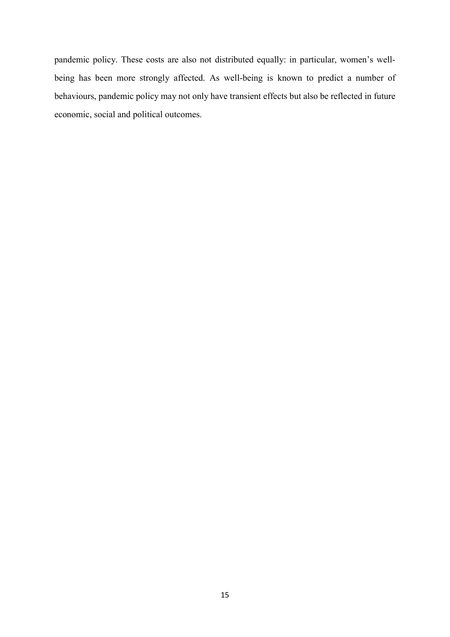pandemic policy. These costs are also not distributed equally: in particular, women's wellbeing has been more strongly affected. As well-being is known to predict a number of behaviours, pandemic policy may not only have transient effects but also be reflected in future economic, social and political outcomes.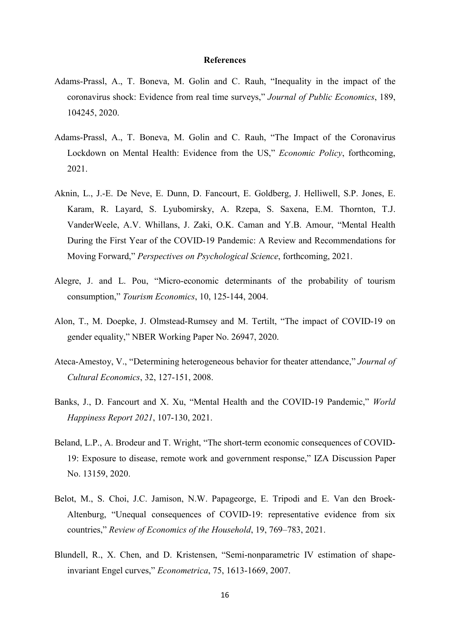#### **References**

- Adams-Prassl, A., T. Boneva, M. Golin and C. Rauh, "Inequality in the impact of the coronavirus shock: Evidence from real time surveys," Journal of Public Economics, 189, 104245, 2020.
- Adams-Prassl, A., T. Boneva, M. Golin and C. Rauh, "The Impact of the Coronavirus Lockdown on Mental Health: Evidence from the US," Economic Policy, forthcoming, 2021.
- Aknin, L., J.-E. De Neve, E. Dunn, D. Fancourt, E. Goldberg, J. Helliwell, S.P. Jones, E. Karam, R. Layard, S. Lyubomirsky, A. Rzepa, S. Saxena, E.M. Thornton, T.J. VanderWeele, A.V. Whillans, J. Zaki, O.K. Caman and Y.B. Amour, "Mental Health During the First Year of the COVID-19 Pandemic: A Review and Recommendations for Moving Forward," Perspectives on Psychological Science, forthcoming, 2021.
- Alegre, J. and L. Pou, "Micro-economic determinants of the probability of tourism consumption," Tourism Economics, 10, 125-144, 2004.
- Alon, T., M. Doepke, J. Olmstead-Rumsey and M. Tertilt, "The impact of COVID-19 on gender equality," NBER Working Paper No. 26947, 2020.
- Ateca-Amestoy, V., "Determining heterogeneous behavior for theater attendance," Journal of Cultural Economics, 32, 127-151, 2008.
- Banks, J., D. Fancourt and X. Xu, "Mental Health and the COVID-19 Pandemic," World Happiness Report 2021, 107-130, 2021.
- Beland, L.P., A. Brodeur and T. Wright, "The short-term economic consequences of COVID-19: Exposure to disease, remote work and government response," IZA Discussion Paper No. 13159, 2020.
- Belot, M., S. Choi, J.C. Jamison, N.W. Papageorge, E. Tripodi and E. Van den Broek-Altenburg, "Unequal consequences of COVID-19: representative evidence from six countries," Review of Economics of the Household, 19, 769–783, 2021.
- Blundell, R., X. Chen, and D. Kristensen, "Semi-nonparametric IV estimation of shapeinvariant Engel curves," Econometrica, 75, 1613-1669, 2007.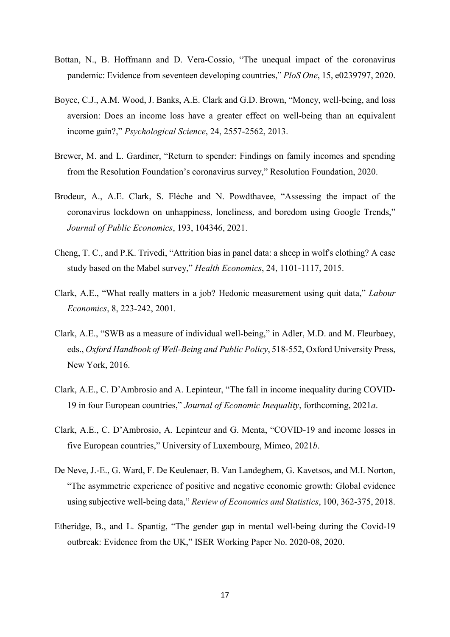- Bottan, N., B. Hoffmann and D. Vera-Cossio, "The unequal impact of the coronavirus pandemic: Evidence from seventeen developing countries," PloS One, 15, e0239797, 2020.
- Boyce, C.J., A.M. Wood, J. Banks, A.E. Clark and G.D. Brown, "Money, well-being, and loss aversion: Does an income loss have a greater effect on well-being than an equivalent income gain?," Psychological Science, 24, 2557-2562, 2013.
- Brewer, M. and L. Gardiner, "Return to spender: Findings on family incomes and spending from the Resolution Foundation's coronavirus survey," Resolution Foundation, 2020.
- Brodeur, A., A.E. Clark, S. Flèche and N. Powdthavee, "Assessing the impact of the coronavirus lockdown on unhappiness, loneliness, and boredom using Google Trends," Journal of Public Economics, 193, 104346, 2021.
- Cheng, T. C., and P.K. Trivedi, "Attrition bias in panel data: a sheep in wolf's clothing? A case study based on the Mabel survey," Health Economics, 24, 1101-1117, 2015.
- Clark, A.E., "What really matters in a job? Hedonic measurement using quit data," Labour Economics, 8, 223-242, 2001.
- Clark, A.E., "SWB as a measure of individual well-being," in Adler, M.D. and M. Fleurbaey, eds., Oxford Handbook of Well-Being and Public Policy, 518-552, Oxford University Press, New York, 2016.
- Clark, A.E., C. D'Ambrosio and A. Lepinteur, "The fall in income inequality during COVID-19 in four European countries," Journal of Economic Inequality, forthcoming, 2021a.
- Clark, A.E., C. D'Ambrosio, A. Lepinteur and G. Menta, "COVID-19 and income losses in five European countries," University of Luxembourg, Mimeo, 2021b.
- De Neve, J.-E., G. Ward, F. De Keulenaer, B. Van Landeghem, G. Kavetsos, and M.I. Norton, "The asymmetric experience of positive and negative economic growth: Global evidence using subjective well-being data," Review of Economics and Statistics, 100, 362-375, 2018.
- Etheridge, B., and L. Spantig, "The gender gap in mental well-being during the Covid-19 outbreak: Evidence from the UK," ISER Working Paper No. 2020-08, 2020.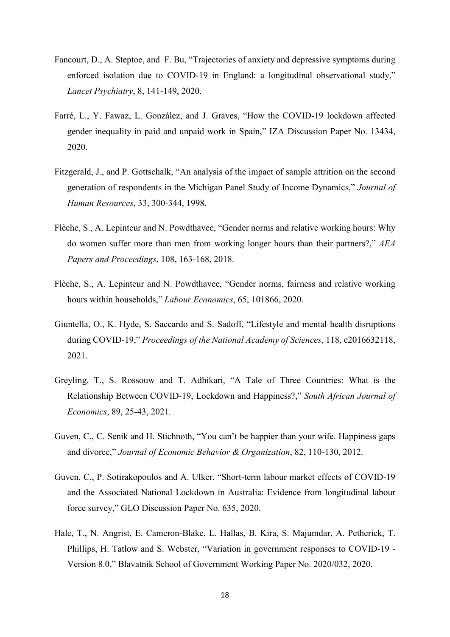- Fancourt, D., A. Steptoe, and F. Bu, "Trajectories of anxiety and depressive symptoms during enforced isolation due to COVID-19 in England: a longitudinal observational study," Lancet Psychiatry, 8, 141-149, 2020.
- Farré, L., Y. Fawaz, L. González, and J. Graves, "How the COVID-19 lockdown affected gender inequality in paid and unpaid work in Spain," IZA Discussion Paper No. 13434, 2020.
- Fitzgerald, J., and P. Gottschalk, "An analysis of the impact of sample attrition on the second generation of respondents in the Michigan Panel Study of Income Dynamics," Journal of Human Resources, 33, 300-344, 1998.
- Flèche, S., A. Lepinteur and N. Powdthavee, "Gender norms and relative working hours: Why do women suffer more than men from working longer hours than their partners?," AEA Papers and Proceedings, 108, 163-168, 2018.
- Flèche, S., A. Lepinteur and N. Powdthavee, "Gender norms, fairness and relative working hours within households," Labour Economics, 65, 101866, 2020.
- Giuntella, O., K. Hyde, S. Saccardo and S. Sadoff, "Lifestyle and mental health disruptions during COVID-19," Proceedings of the National Academy of Sciences, 118, e2016632118, 2021.
- Greyling, T., S. Rossouw and T. Adhikari, "A Tale of Three Countries: What is the Relationship Between COVID-19, Lockdown and Happiness?," South African Journal of Economics, 89, 25-43, 2021.
- Guven, C., C. Senik and H. Stichnoth, "You can't be happier than your wife. Happiness gaps and divorce," Journal of Economic Behavior & Organization, 82, 110-130, 2012.
- Guven, C., P. Sotirakopoulos and A. Ulker, "Short-term labour market effects of COVID-19 and the Associated National Lockdown in Australia: Evidence from longitudinal labour force survey," GLO Discussion Paper No. 635, 2020.
- Hale, T., N. Angrist, E. Cameron-Blake, L. Hallas, B. Kira, S. Majumdar, A. Petherick, T. Phillips, H. Tatlow and S. Webster, "Variation in government responses to COVID-19 - Version 8.0," Blavatnik School of Government Working Paper No. 2020/032, 2020.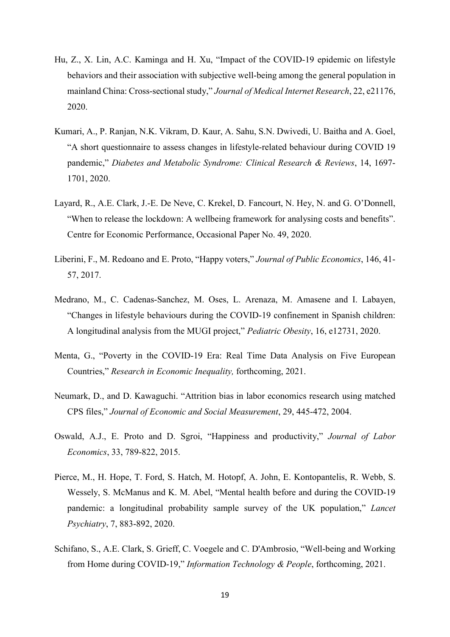- Hu, Z., X. Lin, A.C. Kaminga and H. Xu, "Impact of the COVID-19 epidemic on lifestyle behaviors and their association with subjective well-being among the general population in mainland China: Cross-sectional study," Journal of Medical Internet Research, 22, e21176, 2020.
- Kumari, A., P. Ranjan, N.K. Vikram, D. Kaur, A. Sahu, S.N. Dwivedi, U. Baitha and A. Goel, "A short questionnaire to assess changes in lifestyle-related behaviour during COVID 19 pandemic," Diabetes and Metabolic Syndrome: Clinical Research & Reviews, 14, 1697- 1701, 2020.
- Layard, R., A.E. Clark, J.-E. De Neve, C. Krekel, D. Fancourt, N. Hey, N. and G. O'Donnell, "When to release the lockdown: A wellbeing framework for analysing costs and benefits". Centre for Economic Performance, Occasional Paper No. 49, 2020.
- Liberini, F., M. Redoano and E. Proto, "Happy voters," Journal of Public Economics, 146, 41- 57, 2017.
- Medrano, M., C. Cadenas‐Sanchez, M. Oses, L. Arenaza, M. Amasene and I. Labayen, "Changes in lifestyle behaviours during the COVID‐19 confinement in Spanish children: A longitudinal analysis from the MUGI project," Pediatric Obesity, 16, e12731, 2020.
- Menta, G., "Poverty in the COVID-19 Era: Real Time Data Analysis on Five European Countries," Research in Economic Inequality, forthcoming, 2021.
- Neumark, D., and D. Kawaguchi. "Attrition bias in labor economics research using matched CPS files," Journal of Economic and Social Measurement, 29, 445-472, 2004.
- Oswald, A.J., E. Proto and D. Sgroi, "Happiness and productivity," Journal of Labor Economics, 33, 789-822, 2015.
- Pierce, M., H. Hope, T. Ford, S. Hatch, M. Hotopf, A. John, E. Kontopantelis, R. Webb, S. Wessely, S. McManus and K. M. Abel, "Mental health before and during the COVID-19 pandemic: a longitudinal probability sample survey of the UK population," Lancet Psychiatry, 7, 883-892, 2020.
- Schifano, S., A.E. Clark, S. Grieff, C. Voegele and C. D'Ambrosio, "Well-being and Working from Home during COVID-19," Information Technology & People, forthcoming, 2021.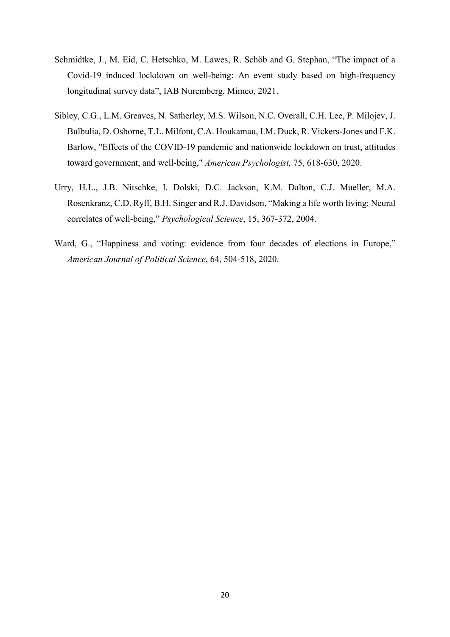- Schmidtke, J., M. Eid, C. Hetschko, M. Lawes, R. Schöb and G. Stephan, "The impact of a Covid-19 induced lockdown on well-being: An event study based on high-frequency longitudinal survey data", IAB Nuremberg, Mimeo, 2021.
- Sibley, C.G., L.M. Greaves, N. Satherley, M.S. Wilson, N.C. Overall, C.H. Lee, P. Milojev, J. Bulbulia, D. Osborne, T.L. Milfont, C.A. Houkamau, I.M. Duck, R. Vickers-Jones and F.K. Barlow, "Effects of the COVID-19 pandemic and nationwide lockdown on trust, attitudes toward government, and well-being," American Psychologist, 75, 618-630, 2020.
- Urry, H.L., J.B. Nitschke, I. Dolski, D.C. Jackson, K.M. Dalton, C.J. Mueller, M.A. Rosenkranz, C.D. Ryff, B.H. Singer and R.J. Davidson, "Making a life worth living: Neural correlates of well-being," Psychological Science, 15, 367-372, 2004.
- Ward, G., "Happiness and voting: evidence from four decades of elections in Europe," American Journal of Political Science, 64, 504-518, 2020.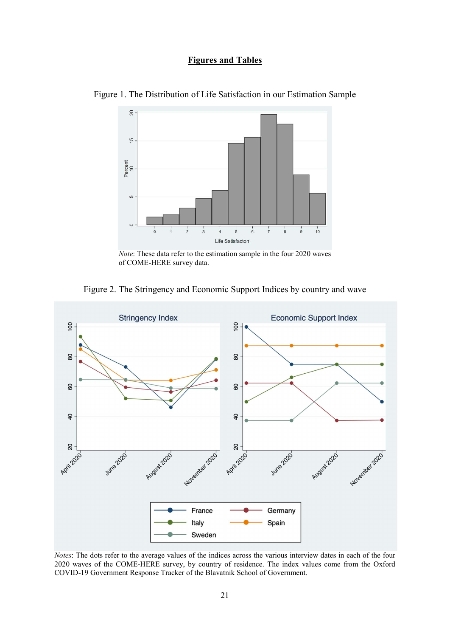## Figures and Tables



Figure 1. The Distribution of Life Satisfaction in our Estimation Sample

Figure 2. The Stringency and Economic Support Indices by country and wave



Notes: The dots refer to the average values of the indices across the various interview dates in each of the four 2020 waves of the COME-HERE survey, by country of residence. The index values come from the Oxford COVID-19 Government Response Tracker of the Blavatnik School of Government.

Note: These data refer to the estimation sample in the four 2020 waves of COME-HERE survey data.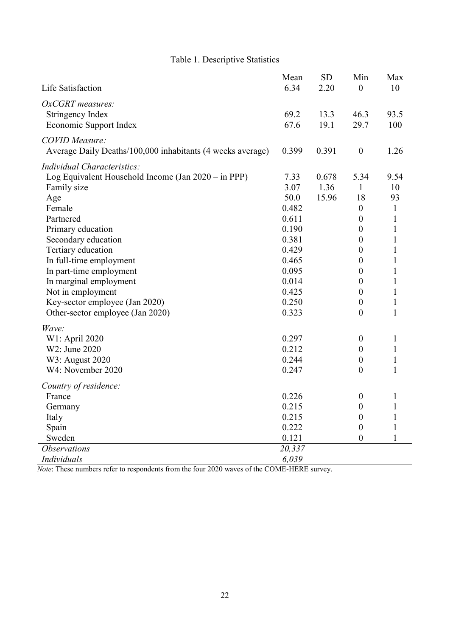|                                                            | Mean   | SD    | Min              | Max          |
|------------------------------------------------------------|--------|-------|------------------|--------------|
| Life Satisfaction                                          | 6.34   | 2.20  | $\overline{0}$   | 10           |
| OxCGRT measures:                                           |        |       |                  |              |
| Stringency Index                                           | 69.2   | 13.3  | 46.3             | 93.5         |
| Economic Support Index                                     | 67.6   | 19.1  | 29.7             | 100          |
| <b>COVID</b> Measure:                                      |        |       |                  |              |
| Average Daily Deaths/100,000 inhabitants (4 weeks average) | 0.399  | 0.391 | $\boldsymbol{0}$ | 1.26         |
| Individual Characteristics:                                |        |       |                  |              |
| Log Equivalent Household Income (Jan 2020 – in PPP)        | 7.33   | 0.678 | 5.34             | 9.54         |
| Family size                                                | 3.07   | 1.36  | $\mathbf{1}$     | 10           |
| Age                                                        | 50.0   | 15.96 | 18               | 93           |
| Female                                                     | 0.482  |       | $\boldsymbol{0}$ | $\mathbf{1}$ |
| Partnered                                                  | 0.611  |       | $\boldsymbol{0}$ | 1            |
| Primary education                                          | 0.190  |       | $\boldsymbol{0}$ | 1            |
| Secondary education                                        | 0.381  |       | $\boldsymbol{0}$ | 1            |
| Tertiary education                                         | 0.429  |       | $\overline{0}$   | 1            |
| In full-time employment                                    | 0.465  |       | $\boldsymbol{0}$ | $\mathbf{1}$ |
| In part-time employment                                    | 0.095  |       | $\boldsymbol{0}$ | 1            |
| In marginal employment                                     | 0.014  |       | $\boldsymbol{0}$ | 1            |
| Not in employment                                          | 0.425  |       | $\theta$         | 1            |
| Key-sector employee (Jan 2020)                             | 0.250  |       | $\boldsymbol{0}$ | 1            |
| Other-sector employee (Jan 2020)                           | 0.323  |       | $\overline{0}$   | $\mathbf{1}$ |
| Wave:                                                      |        |       |                  |              |
| W1: April 2020                                             | 0.297  |       | $\boldsymbol{0}$ | $\mathbf{1}$ |
| W2: June 2020                                              | 0.212  |       | $\theta$         | $\mathbf{1}$ |
| W3: August 2020                                            | 0.244  |       | $\boldsymbol{0}$ | $\mathbf{1}$ |
| W4: November 2020                                          | 0.247  |       | $\overline{0}$   | $\mathbf{1}$ |
| Country of residence:                                      |        |       |                  |              |
| France                                                     | 0.226  |       | $\boldsymbol{0}$ | 1            |
| Germany                                                    | 0.215  |       | $\boldsymbol{0}$ | $\mathbf{1}$ |
| Italy                                                      | 0.215  |       | $\boldsymbol{0}$ | $\mathbf{1}$ |
| Spain                                                      | 0.222  |       | $\boldsymbol{0}$ | $\mathbf{1}$ |
| Sweden                                                     | 0.121  |       | $\boldsymbol{0}$ | $\mathbf{1}$ |
| <i><b>Observations</b></i>                                 | 20,337 |       |                  |              |
| Individuals                                                | 6,039  |       |                  |              |

# Table 1. Descriptive Statistics

Note: These numbers refer to respondents from the four 2020 waves of the COME-HERE survey.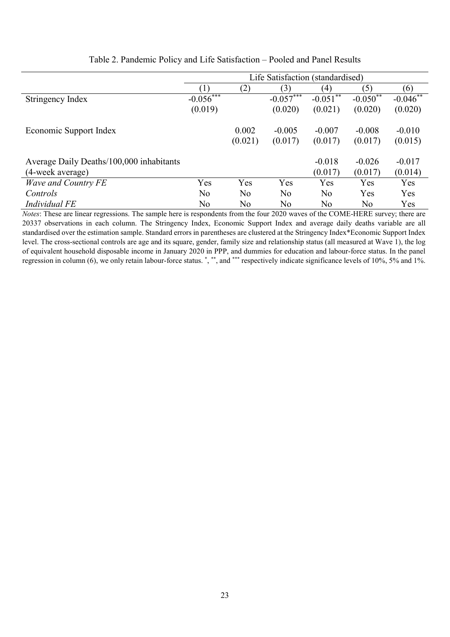|                                          | Life Satisfaction (standardised) |         |                |             |            |            |  |  |  |
|------------------------------------------|----------------------------------|---------|----------------|-------------|------------|------------|--|--|--|
|                                          |                                  | (2)     | (3)            | (4)         | (5)        | (6)        |  |  |  |
| Stringency Index                         | $-0.056***$                      |         | $-0.057***$    | $-0.051***$ | $-0.050**$ | $-0.046**$ |  |  |  |
|                                          | (0.019)                          |         | (0.020)        | (0.021)     | (0.020)    | (0.020)    |  |  |  |
| Economic Support Index                   |                                  | 0.002   | $-0.005$       | $-0.007$    | $-0.008$   | $-0.010$   |  |  |  |
|                                          |                                  | (0.021) | (0.017)        | (0.017)     | (0.017)    | (0.015)    |  |  |  |
| Average Daily Deaths/100,000 inhabitants |                                  |         |                | $-0.018$    | $-0.026$   | $-0.017$   |  |  |  |
| (4-week average)                         |                                  |         |                | (0.017)     | (0.017)    | (0.014)    |  |  |  |
| Wave and Country FE                      | Yes                              | Yes     | Yes            | Yes         | Yes        | Yes        |  |  |  |
| Controls                                 | No                               | No      | N <sub>o</sub> | No          | Yes        | Yes        |  |  |  |
| Individual FE                            | No                               | No      | No             | No          | No         | Yes        |  |  |  |

Notes: These are linear regressions. The sample here is respondents from the four 2020 waves of the COME-HERE survey; there are 20337 observations in each column. The Stringency Index, Economic Support Index and average daily deaths variable are all standardised over the estimation sample. Standard errors in parentheses are clustered at the Stringency Index\*Economic Support Index level. The cross-sectional controls are age and its square, gender, family size and relationship status (all measured at Wave 1), the log of equivalent household disposable income in January 2020 in PPP, and dummies for education and labour-force status. In the panel regression in column (6), we only retain labour-force status. \*, \*\*, and \*\*\* respectively indicate significance levels of 10%, 5% and 1%.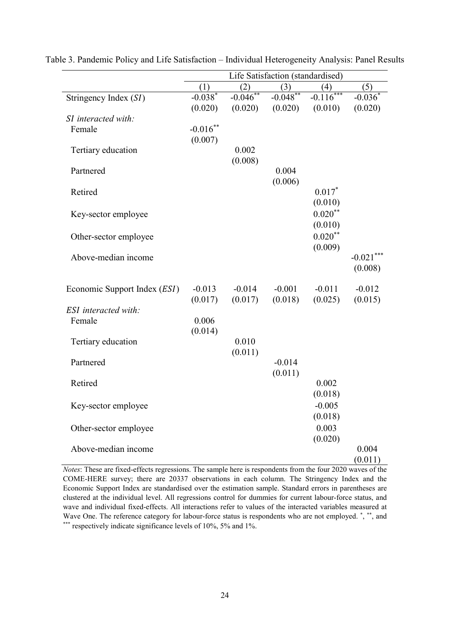|                                       | Life Satisfaction (standardised) |            |            |                           |                       |  |  |
|---------------------------------------|----------------------------------|------------|------------|---------------------------|-----------------------|--|--|
|                                       | (1)                              | (2)        | (3)        | (4)                       | (5)                   |  |  |
| Stringency Index (SI)                 | $-0.038*$                        | $-0.046**$ | $-0.048**$ | $-0.1\overline{16^{***}}$ | $-0.036$ <sup>*</sup> |  |  |
|                                       | (0.020)                          | (0.020)    | (0.020)    | (0.010)                   | (0.020)               |  |  |
| SI interacted with:                   |                                  |            |            |                           |                       |  |  |
| Female                                | $-0.016**$                       |            |            |                           |                       |  |  |
|                                       | (0.007)                          |            |            |                           |                       |  |  |
| Tertiary education                    |                                  | 0.002      |            |                           |                       |  |  |
| Partnered                             |                                  | (0.008)    | 0.004      |                           |                       |  |  |
|                                       |                                  |            | (0.006)    |                           |                       |  |  |
| Retired                               |                                  |            |            | $0.017*$                  |                       |  |  |
|                                       |                                  |            |            | (0.010)                   |                       |  |  |
| Key-sector employee                   |                                  |            |            | $0.020**$                 |                       |  |  |
|                                       |                                  |            |            | (0.010)                   |                       |  |  |
| Other-sector employee                 |                                  |            |            | $0.020**$                 |                       |  |  |
|                                       |                                  |            |            | (0.009)                   |                       |  |  |
| Above-median income                   |                                  |            |            |                           | $-0.021$ ***          |  |  |
|                                       |                                  |            |            |                           | (0.008)               |  |  |
|                                       |                                  |            |            |                           |                       |  |  |
| Economic Support Index ( <i>ESI</i> ) | $-0.013$                         | $-0.014$   | $-0.001$   | $-0.011$                  | $-0.012$              |  |  |
|                                       | (0.017)                          | (0.017)    | (0.018)    | (0.025)                   | (0.015)               |  |  |
| <b>ESI</b> interacted with:           |                                  |            |            |                           |                       |  |  |
| Female                                | 0.006                            |            |            |                           |                       |  |  |
|                                       | (0.014)                          |            |            |                           |                       |  |  |
| Tertiary education                    |                                  | 0.010      |            |                           |                       |  |  |
|                                       |                                  | (0.011)    |            |                           |                       |  |  |
| Partnered                             |                                  |            | $-0.014$   |                           |                       |  |  |
|                                       |                                  |            | (0.011)    |                           |                       |  |  |
| Retired                               |                                  |            |            | 0.002                     |                       |  |  |
|                                       |                                  |            |            | (0.018)                   |                       |  |  |
| Key-sector employee                   |                                  |            |            | $-0.005$                  |                       |  |  |
|                                       |                                  |            |            | (0.018)                   |                       |  |  |
| Other-sector employee                 |                                  |            |            | 0.003                     |                       |  |  |
|                                       |                                  |            |            | (0.020)                   |                       |  |  |
| Above-median income                   |                                  |            |            |                           | 0.004                 |  |  |
|                                       |                                  |            |            |                           | (0.011)               |  |  |

Table 3. Pandemic Policy and Life Satisfaction – Individual Heterogeneity Analysis: Panel Results

Notes: These are fixed-effects regressions. The sample here is respondents from the four 2020 waves of the COME-HERE survey; there are 20337 observations in each column. The Stringency Index and the Economic Support Index are standardised over the estimation sample. Standard errors in parentheses are clustered at the individual level. All regressions control for dummies for current labour-force status, and wave and individual fixed-effects. All interactions refer to values of the interacted variables measured at Wave One. The reference category for labour-force status is respondents who are not employed.<sup>\*</sup>,\*\*\*, and \*\*\* respectively indicate significance levels of 10%, 5% and 1%.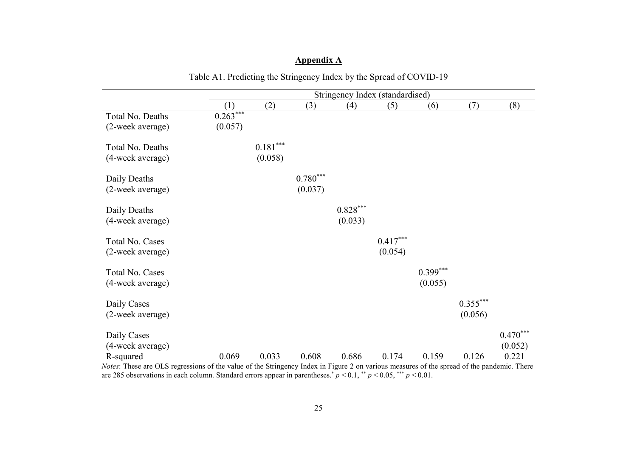|                  | Stringency Index (standardised) |                        |                        |            |            |            |            |            |  |  |
|------------------|---------------------------------|------------------------|------------------------|------------|------------|------------|------------|------------|--|--|
|                  | (1)                             | (2)                    | (3)                    | (4)        | (5)        | (6)        | (7)        | (8)        |  |  |
| Total No. Deaths | $0.263***$                      |                        |                        |            |            |            |            |            |  |  |
| (2-week average) | (0.057)                         |                        |                        |            |            |            |            |            |  |  |
| Total No. Deaths |                                 | $0.181^{\ast\ast\ast}$ |                        |            |            |            |            |            |  |  |
| (4-week average) |                                 | (0.058)                |                        |            |            |            |            |            |  |  |
| Daily Deaths     |                                 |                        | $0.780^{\ast\ast\ast}$ |            |            |            |            |            |  |  |
| (2-week average) |                                 |                        | (0.037)                |            |            |            |            |            |  |  |
| Daily Deaths     |                                 |                        |                        | $0.828***$ |            |            |            |            |  |  |
| (4-week average) |                                 |                        |                        | (0.033)    |            |            |            |            |  |  |
| Total No. Cases  |                                 |                        |                        |            | $0.417***$ |            |            |            |  |  |
| (2-week average) |                                 |                        |                        |            | (0.054)    |            |            |            |  |  |
| Total No. Cases  |                                 |                        |                        |            |            | $0.399***$ |            |            |  |  |
| (4-week average) |                                 |                        |                        |            |            | (0.055)    |            |            |  |  |
| Daily Cases      |                                 |                        |                        |            |            |            | $0.355***$ |            |  |  |
| (2-week average) |                                 |                        |                        |            |            |            | (0.056)    |            |  |  |
|                  |                                 |                        |                        |            |            |            |            |            |  |  |
| Daily Cases      |                                 |                        |                        |            |            |            |            | $0.470***$ |  |  |
| (4-week average) |                                 |                        |                        |            |            |            |            | (0.052)    |  |  |
| R-squared        | 0.069                           | 0.033                  | 0.608                  | 0.686      | 0.174      | 0.159      | 0.126      | 0.221      |  |  |

# Appendix A

Table A1. Predicting the Stringency Index by the Spread of COVID-19

Notes: These are OLS regressions of the value of the Stringency Index in Figure 2 on various measures of the spread of the pandemic. There are 285 observations in each column. Standard errors appear in parentheses.<sup>\*</sup>  $p < 0.1$ , \*\* $p < 0.05$ , \*\*\*  $p < 0.01$ .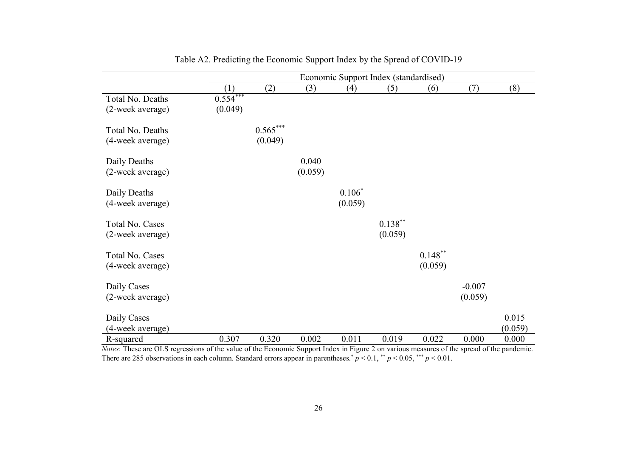|                                      | Economic Support Index (standardised) |                       |                  |                     |                       |                       |                     |                  |
|--------------------------------------|---------------------------------------|-----------------------|------------------|---------------------|-----------------------|-----------------------|---------------------|------------------|
|                                      | (1)                                   | (2)                   | (3)              | (4)                 | (5)                   | (6)                   | (7)                 | (8)              |
| Total No. Deaths<br>(2-week average) | $0.554***$<br>(0.049)                 |                       |                  |                     |                       |                       |                     |                  |
| Total No. Deaths<br>(4-week average) |                                       | $0.565***$<br>(0.049) |                  |                     |                       |                       |                     |                  |
| Daily Deaths<br>(2-week average)     |                                       |                       | 0.040<br>(0.059) |                     |                       |                       |                     |                  |
| Daily Deaths<br>(4-week average)     |                                       |                       |                  | $0.106*$<br>(0.059) |                       |                       |                     |                  |
| Total No. Cases<br>(2-week average)  |                                       |                       |                  |                     | $0.138***$<br>(0.059) |                       |                     |                  |
| Total No. Cases<br>(4-week average)  |                                       |                       |                  |                     |                       | $0.148***$<br>(0.059) |                     |                  |
| Daily Cases<br>(2-week average)      |                                       |                       |                  |                     |                       |                       | $-0.007$<br>(0.059) |                  |
| Daily Cases<br>(4-week average)      |                                       |                       |                  |                     |                       |                       |                     | 0.015<br>(0.059) |
| R-squared                            | 0.307                                 | 0.320                 | 0.002            | 0.011               | 0.019                 | 0.022                 | 0.000               | 0.000            |

| Table A2. Predicting the Economic Support Index by the Spread of COVID-19 |  |
|---------------------------------------------------------------------------|--|
|---------------------------------------------------------------------------|--|

Notes: These are OLS regressions of the value of the Economic Support Index in Figure 2 on various measures of the spread of the pandemic. There are 285 observations in each column. Standard errors appear in parentheses.\*  $p < 0.1$ ,\*\*  $p < 0.05$ ,\*\*\*  $p < 0.01$ .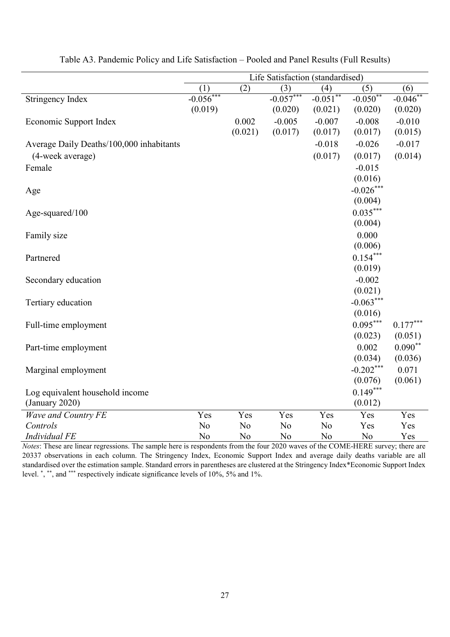|                                          | Life Satisfaction (standardised) |         |                |            |             |            |  |  |
|------------------------------------------|----------------------------------|---------|----------------|------------|-------------|------------|--|--|
|                                          | (1)                              | (2)     | (3)            | (4)        | (5)         | (6)        |  |  |
| Stringency Index                         | $-0.056***$                      |         | $-0.057***$    | $-0.051**$ | $-0.050**$  | $-0.046**$ |  |  |
|                                          | (0.019)                          |         | (0.020)        | (0.021)    | (0.020)     | (0.020)    |  |  |
| Economic Support Index                   |                                  | 0.002   | $-0.005$       | $-0.007$   | $-0.008$    | $-0.010$   |  |  |
|                                          |                                  | (0.021) | (0.017)        | (0.017)    | (0.017)     | (0.015)    |  |  |
| Average Daily Deaths/100,000 inhabitants |                                  |         |                | $-0.018$   | $-0.026$    | $-0.017$   |  |  |
| (4-week average)                         |                                  |         |                | (0.017)    | (0.017)     | (0.014)    |  |  |
| Female                                   |                                  |         |                |            | $-0.015$    |            |  |  |
|                                          |                                  |         |                |            | (0.016)     |            |  |  |
| Age                                      |                                  |         |                |            | $-0.026***$ |            |  |  |
|                                          |                                  |         |                |            | (0.004)     |            |  |  |
| Age-squared/100                          |                                  |         |                |            | $0.035***$  |            |  |  |
|                                          |                                  |         |                |            | (0.004)     |            |  |  |
| Family size                              |                                  |         |                |            | 0.000       |            |  |  |
|                                          |                                  |         |                |            | (0.006)     |            |  |  |
| Partnered                                |                                  |         |                |            | $0.154***$  |            |  |  |
|                                          |                                  |         |                |            | (0.019)     |            |  |  |
| Secondary education                      |                                  |         |                |            | $-0.002$    |            |  |  |
|                                          |                                  |         |                |            | (0.021)     |            |  |  |
| Tertiary education                       |                                  |         |                |            | $-0.063***$ |            |  |  |
|                                          |                                  |         |                |            | (0.016)     |            |  |  |
| Full-time employment                     |                                  |         |                |            | $0.095***$  | $0.177***$ |  |  |
|                                          |                                  |         |                |            | (0.023)     | (0.051)    |  |  |
| Part-time employment                     |                                  |         |                |            | 0.002       | $0.090**$  |  |  |
|                                          |                                  |         |                |            | (0.034)     | (0.036)    |  |  |
| Marginal employment                      |                                  |         |                |            | $-0.202***$ | 0.071      |  |  |
|                                          |                                  |         |                |            | (0.076)     | (0.061)    |  |  |
| Log equivalent household income          |                                  |         |                |            | $0.149***$  |            |  |  |
| (January 2020)                           |                                  |         |                |            | (0.012)     |            |  |  |
| <b>Wave and Country FE</b>               | Yes                              | Yes     | Yes            | Yes        | Yes         | Yes        |  |  |
| Controls                                 | No                               | No      | No             | No         | Yes         | Yes        |  |  |
| <b>Individual FE</b>                     | No                               | No      | N <sub>o</sub> | No         | No          | Yes        |  |  |

Table A3. Pandemic Policy and Life Satisfaction – Pooled and Panel Results (Full Results)

Notes: These are linear regressions. The sample here is respondents from the four 2020 waves of the COME-HERE survey; there are 20337 observations in each column. The Stringency Index, Economic Support Index and average daily deaths variable are all standardised over the estimation sample. Standard errors in parentheses are clustered at the Stringency Index\*Economic Support Index level.<sup>\*</sup>,<sup>\*\*</sup>, and <sup>\*\*\*</sup> respectively indicate significance levels of 10%, 5% and 1%.